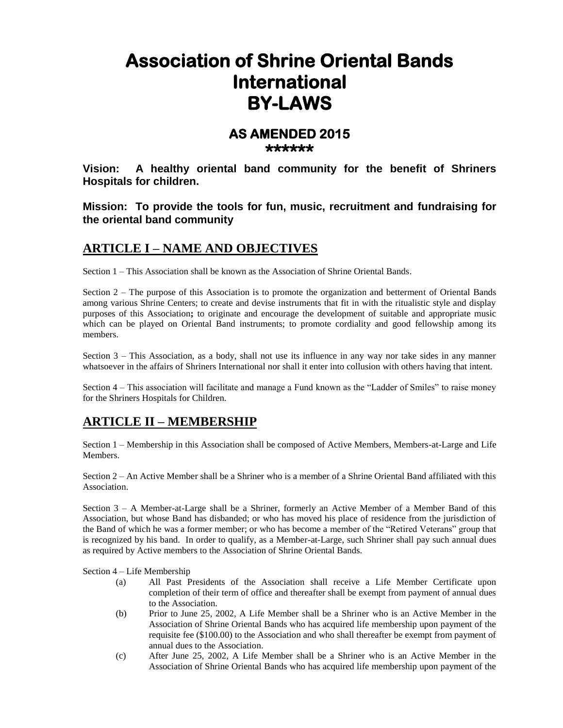# **Association of Shrine Oriental Bands International BY-LAWS**

#### **AS AMENDED 2015 \*\*\*\*\*\***

**Vision: A healthy oriental band community for the benefit of Shriners Hospitals for children.**

**Mission: To provide the tools for fun, music, recruitment and fundraising for the oriental band community**

#### **ARTICLE I – NAME AND OBJECTIVES**

Section 1 – This Association shall be known as the Association of Shrine Oriental Bands.

Section 2 – The purpose of this Association is to promote the organization and betterment of Oriental Bands among various Shrine Centers; to create and devise instruments that fit in with the ritualistic style and display purposes of this Association**;** to originate and encourage the development of suitable and appropriate music which can be played on Oriental Band instruments; to promote cordiality and good fellowship among its members.

Section 3 – This Association, as a body, shall not use its influence in any way nor take sides in any manner whatsoever in the affairs of Shriners International nor shall it enter into collusion with others having that intent.

Section 4 – This association will facilitate and manage a Fund known as the "Ladder of Smiles" to raise money for the Shriners Hospitals for Children.

#### **ARTICLE II – MEMBERSHIP**

Section 1 – Membership in this Association shall be composed of Active Members, Members-at-Large and Life Members.

Section 2 – An Active Member shall be a Shriner who is a member of a Shrine Oriental Band affiliated with this Association.

Section 3 – A Member-at-Large shall be a Shriner, formerly an Active Member of a Member Band of this Association, but whose Band has disbanded; or who has moved his place of residence from the jurisdiction of the Band of which he was a former member; or who has become a member of the "Retired Veterans" group that is recognized by his band. In order to qualify, as a Member-at-Large, such Shriner shall pay such annual dues as required by Active members to the Association of Shrine Oriental Bands.

Section 4 – Life Membership

- (a) All Past Presidents of the Association shall receive a Life Member Certificate upon completion of their term of office and thereafter shall be exempt from payment of annual dues to the Association.
- (b) Prior to June 25, 2002, A Life Member shall be a Shriner who is an Active Member in the Association of Shrine Oriental Bands who has acquired life membership upon payment of the requisite fee (\$100.00) to the Association and who shall thereafter be exempt from payment of annual dues to the Association.
- (c) After June 25, 2002, A Life Member shall be a Shriner who is an Active Member in the Association of Shrine Oriental Bands who has acquired life membership upon payment of the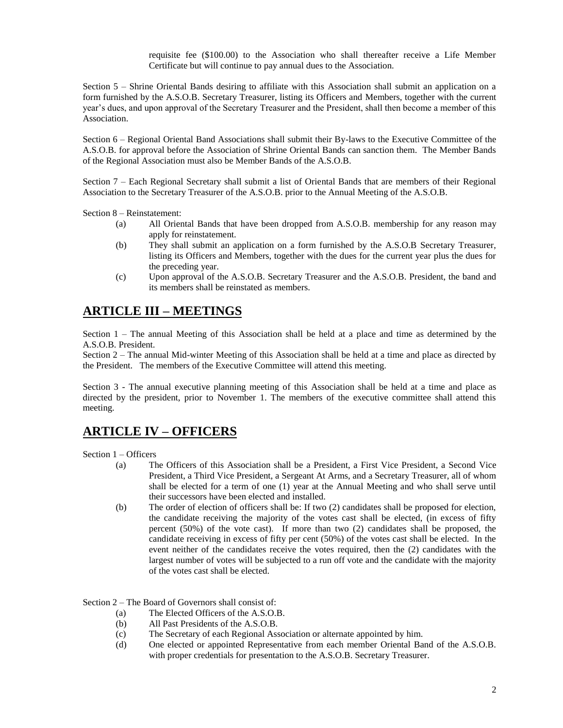requisite fee (\$100.00) to the Association who shall thereafter receive a Life Member Certificate but will continue to pay annual dues to the Association.

Section 5 – Shrine Oriental Bands desiring to affiliate with this Association shall submit an application on a form furnished by the A.S.O.B. Secretary Treasurer, listing its Officers and Members, together with the current year's dues, and upon approval of the Secretary Treasurer and the President, shall then become a member of this Association.

Section 6 – Regional Oriental Band Associations shall submit their By-laws to the Executive Committee of the A.S.O.B. for approval before the Association of Shrine Oriental Bands can sanction them. The Member Bands of the Regional Association must also be Member Bands of the A.S.O.B.

Section 7 – Each Regional Secretary shall submit a list of Oriental Bands that are members of their Regional Association to the Secretary Treasurer of the A.S.O.B. prior to the Annual Meeting of the A.S.O.B.

Section 8 – Reinstatement:

- (a) All Oriental Bands that have been dropped from A.S.O.B. membership for any reason may apply for reinstatement.
- (b) They shall submit an application on a form furnished by the A.S.O.B Secretary Treasurer, listing its Officers and Members, together with the dues for the current year plus the dues for the preceding year.
- (c) Upon approval of the A.S.O.B. Secretary Treasurer and the A.S.O.B. President, the band and its members shall be reinstated as members.

#### **ARTICLE III – MEETINGS**

Section 1 – The annual Meeting of this Association shall be held at a place and time as determined by the A.S.O.B. President.

Section 2 – The annual Mid-winter Meeting of this Association shall be held at a time and place as directed by the President. The members of the Executive Committee will attend this meeting.

Section 3 - The annual executive planning meeting of this Association shall be held at a time and place as directed by the president, prior to November 1. The members of the executive committee shall attend this meeting.

#### **ARTICLE IV – OFFICERS**

Section 1 – Officers

- (a) The Officers of this Association shall be a President, a First Vice President, a Second Vice President, a Third Vice President, a Sergeant At Arms, and a Secretary Treasurer, all of whom shall be elected for a term of one (1) year at the Annual Meeting and who shall serve until their successors have been elected and installed.
- (b) The order of election of officers shall be: If two (2) candidates shall be proposed for election, the candidate receiving the majority of the votes cast shall be elected, (in excess of fifty percent (50%) of the vote cast). If more than two (2) candidates shall be proposed, the candidate receiving in excess of fifty per cent (50%) of the votes cast shall be elected. In the event neither of the candidates receive the votes required, then the (2) candidates with the largest number of votes will be subjected to a run off vote and the candidate with the majority of the votes cast shall be elected.

Section 2 – The Board of Governors shall consist of:

- (a) The Elected Officers of the A.S.O.B.
- (b) All Past Presidents of the A.S.O.B.
- (c) The Secretary of each Regional Association or alternate appointed by him.
- (d) One elected or appointed Representative from each member Oriental Band of the A.S.O.B. with proper credentials for presentation to the A.S.O.B. Secretary Treasurer.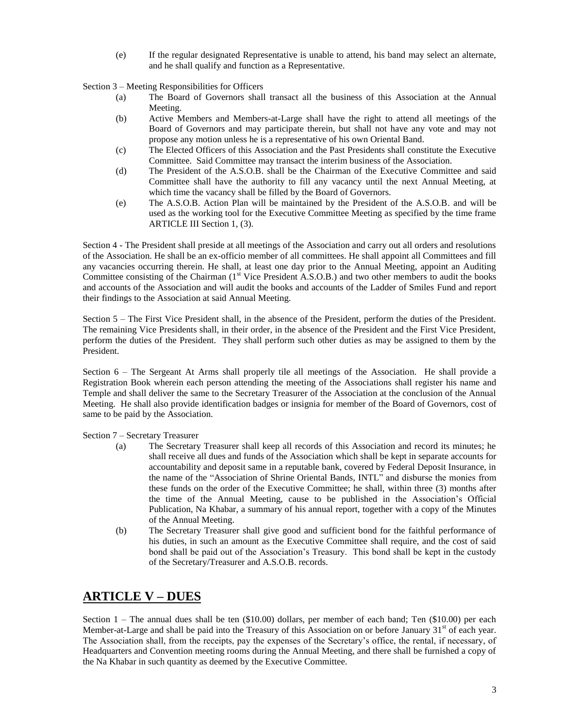(e) If the regular designated Representative is unable to attend, his band may select an alternate, and he shall qualify and function as a Representative.

Section 3 – Meeting Responsibilities for Officers

- (a) The Board of Governors shall transact all the business of this Association at the Annual Meeting.
- (b) Active Members and Members-at-Large shall have the right to attend all meetings of the Board of Governors and may participate therein, but shall not have any vote and may not propose any motion unless he is a representative of his own Oriental Band.
- (c) The Elected Officers of this Association and the Past Presidents shall constitute the Executive Committee. Said Committee may transact the interim business of the Association.
- (d) The President of the A.S.O.B. shall be the Chairman of the Executive Committee and said Committee shall have the authority to fill any vacancy until the next Annual Meeting, at which time the vacancy shall be filled by the Board of Governors.
- (e) The A.S.O.B. Action Plan will be maintained by the President of the A.S.O.B. and will be used as the working tool for the Executive Committee Meeting as specified by the time frame ARTICLE III Section 1, (3).

Section 4 - The President shall preside at all meetings of the Association and carry out all orders and resolutions of the Association. He shall be an ex-officio member of all committees. He shall appoint all Committees and fill any vacancies occurring therein. He shall, at least one day prior to the Annual Meeting, appoint an Auditing Committee consisting of the Chairman (1<sup>st</sup> Vice President A.S.O.B.) and two other members to audit the books and accounts of the Association and will audit the books and accounts of the Ladder of Smiles Fund and report their findings to the Association at said Annual Meeting.

Section 5 – The First Vice President shall, in the absence of the President, perform the duties of the President. The remaining Vice Presidents shall, in their order, in the absence of the President and the First Vice President, perform the duties of the President. They shall perform such other duties as may be assigned to them by the President.

Section 6 – The Sergeant At Arms shall properly tile all meetings of the Association. He shall provide a Registration Book wherein each person attending the meeting of the Associations shall register his name and Temple and shall deliver the same to the Secretary Treasurer of the Association at the conclusion of the Annual Meeting. He shall also provide identification badges or insignia for member of the Board of Governors, cost of same to be paid by the Association.

Section 7 – Secretary Treasurer

- (a) The Secretary Treasurer shall keep all records of this Association and record its minutes; he shall receive all dues and funds of the Association which shall be kept in separate accounts for accountability and deposit same in a reputable bank, covered by Federal Deposit Insurance, in the name of the "Association of Shrine Oriental Bands, INTL" and disburse the monies from these funds on the order of the Executive Committee; he shall, within three (3) months after the time of the Annual Meeting, cause to be published in the Association's Official Publication, Na Khabar, a summary of his annual report, together with a copy of the Minutes of the Annual Meeting.
- (b) The Secretary Treasurer shall give good and sufficient bond for the faithful performance of his duties, in such an amount as the Executive Committee shall require, and the cost of said bond shall be paid out of the Association's Treasury. This bond shall be kept in the custody of the Secretary/Treasurer and A.S.O.B. records.

## **ARTICLE V – DUES**

Section 1 – The annual dues shall be ten (\$10.00) dollars, per member of each band; Ten (\$10.00) per each Member-at-Large and shall be paid into the Treasury of this Association on or before January  $31<sup>st</sup>$  of each year. The Association shall, from the receipts, pay the expenses of the Secretary's office, the rental, if necessary, of Headquarters and Convention meeting rooms during the Annual Meeting, and there shall be furnished a copy of the Na Khabar in such quantity as deemed by the Executive Committee.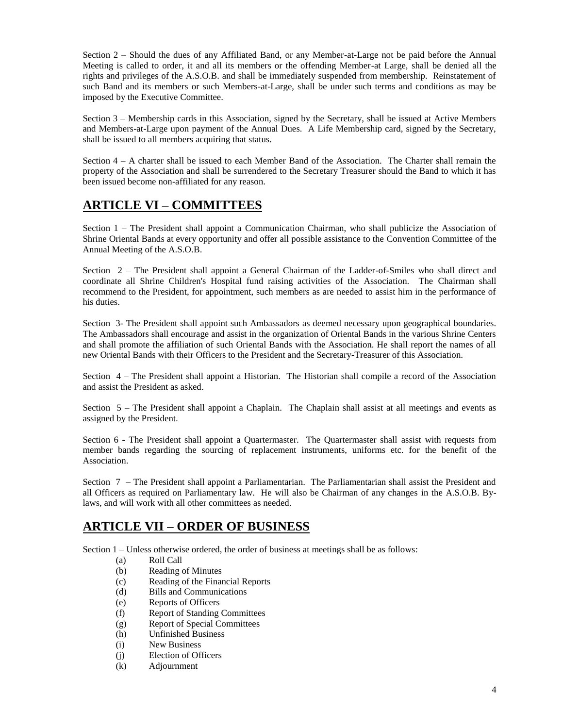Section 2 – Should the dues of any Affiliated Band, or any Member-at-Large not be paid before the Annual Meeting is called to order, it and all its members or the offending Member-at Large, shall be denied all the rights and privileges of the A.S.O.B. and shall be immediately suspended from membership. Reinstatement of such Band and its members or such Members-at-Large, shall be under such terms and conditions as may be imposed by the Executive Committee.

Section 3 – Membership cards in this Association, signed by the Secretary, shall be issued at Active Members and Members-at-Large upon payment of the Annual Dues. A Life Membership card, signed by the Secretary, shall be issued to all members acquiring that status.

Section 4 – A charter shall be issued to each Member Band of the Association. The Charter shall remain the property of the Association and shall be surrendered to the Secretary Treasurer should the Band to which it has been issued become non-affiliated for any reason.

# **ARTICLE VI – COMMITTEES**

Section 1 – The President shall appoint a Communication Chairman, who shall publicize the Association of Shrine Oriental Bands at every opportunity and offer all possible assistance to the Convention Committee of the Annual Meeting of the A.S.O.B.

Section 2 – The President shall appoint a General Chairman of the Ladder-of-Smiles who shall direct and coordinate all Shrine Children's Hospital fund raising activities of the Association. The Chairman shall recommend to the President, for appointment, such members as are needed to assist him in the performance of his duties.

Section 3- The President shall appoint such Ambassadors as deemed necessary upon geographical boundaries. The Ambassadors shall encourage and assist in the organization of Oriental Bands in the various Shrine Centers and shall promote the affiliation of such Oriental Bands with the Association. He shall report the names of all new Oriental Bands with their Officers to the President and the Secretary-Treasurer of this Association.

Section 4 – The President shall appoint a Historian. The Historian shall compile a record of the Association and assist the President as asked.

Section 5 – The President shall appoint a Chaplain. The Chaplain shall assist at all meetings and events as assigned by the President.

Section 6 - The President shall appoint a Quartermaster. The Quartermaster shall assist with requests from member bands regarding the sourcing of replacement instruments, uniforms etc. for the benefit of the Association.

Section 7 – The President shall appoint a Parliamentarian. The Parliamentarian shall assist the President and all Officers as required on Parliamentary law. He will also be Chairman of any changes in the A.S.O.B. Bylaws, and will work with all other committees as needed.

## **ARTICLE VII – ORDER OF BUSINESS**

Section 1 – Unless otherwise ordered, the order of business at meetings shall be as follows:

- (a) Roll Call
- (b) Reading of Minutes
- (c) Reading of the Financial Reports
- (d) Bills and Communications
- (e) Reports of Officers
- (f) Report of Standing Committees
- (g) Report of Special Committees
- (h) Unfinished Business
- (i) New Business
- (j) Election of Officers
- (k) Adjournment